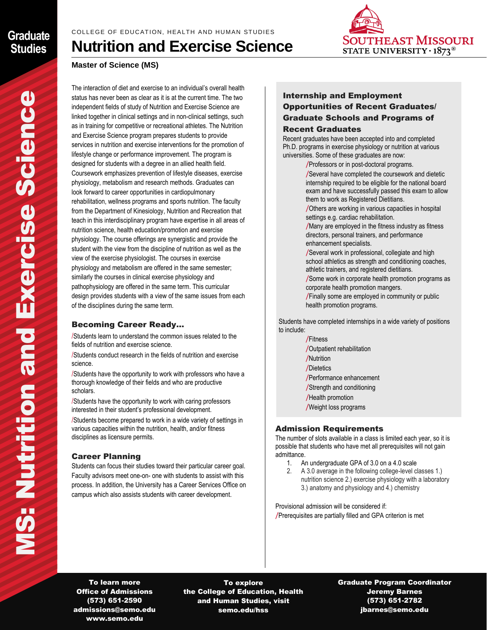# **SOUTHEAST MISSOURI** STATE UNIVERSITY  $\cdot$  1873<sup>®</sup>

## **Nutrition and Exercise Science**

## **Master of Science (MS)**

The interaction of diet and exercise to an individual's overall health status has never been as clear as it is at the current time. The two independent fields of study of Nutrition and Exercise Science are linked together in clinical settings and in non-clinical settings, such as in training for competitive or recreational athletes. The Nutrition and Exercise Science program prepares students to provide services in nutrition and exercise interventions for the promotion of lifestyle change or performance improvement. The program is designed for students with a degree in an allied health field. Coursework emphasizes prevention of lifestyle diseases, exercise physiology, metabolism and research methods. Graduates can look forward to career opportunities in cardiopulmonary rehabilitation, wellness programs and sports nutrition. The faculty from the Department of Kinesiology, Nutrition and Recreation that teach in this interdisciplinary program have expertise in all areas of nutrition science, health education/promotion and exercise physiology. The course offerings are synergistic and provide the student with the view from the discipline of nutrition as well as the view of the exercise physiologist. The courses in exercise physiology and metabolism are offered in the same semester; similarly the courses in clinical exercise physiology and pathophysiology are offered in the same term. This curricular design provides students with a view of the same issues from each of the disciplines during the same term. sin<br>Pade of<br>B<br>Science<br>Science

## Becoming Career Ready…

/Students learn to understand the common issues related to the fields of nutrition and exercise science.

/Students conduct research in the fields of nutrition and exercise science.

/Students have the opportunity to work with professors who have a thorough knowledge of their fields and who are productive scholars.

/Students have the opportunity to work with caring professors interested in their student's professional development.

/Students become prepared to work in a wide variety of settings in various capacities within the nutrition, health, and/or fitness disciplines as licensure permits.

## Career Planning

Students can focus their studies toward their particular career goal. Faculty advisors meet one-on- one with students to assist with this process. In addition, the University has a Career Services Office on campus which also assists students with career development.

## Internship and Employment Opportunities of Recent Graduates/ Graduate Schools and Programs of Recent Graduates

Recent graduates have been accepted into and completed Ph.D. programs in exercise physiology or nutrition at various universities. Some of these graduates are now:

/Professors or in post-doctoral programs.

/Several have completed the coursework and dietetic internship required to be eligible for the national board exam and have successfully passed this exam to allow them to work as Registered Dietitians.

/Others are working in various capacities in hospital settings e.g. cardiac rehabilitation.

/Many are employed in the fitness industry as fitness directors, personal trainers, and performance enhancement specialists.

/Several work in professional, collegiate and high school athletics as strength and conditioning coaches, athletic trainers, and registered dietitians.

/Some work in corporate health promotion programs as corporate health promotion mangers.

/Finally some are employed in community or public health promotion programs.

 Students have completed internships in a wide variety of positions to include:

> /Fitness /Outpatient rehabilitation /Nutrition /Dietetics /Performance enhancement /Strength and conditioning /Health promotion /Weight loss programs

#### Admission Requirements

The number of slots available in a class is limited each year, so it is possible that students who have met all prerequisites will not gain admittance.

- 1. An undergraduate GPA of 3.0 on a 4.0 scale
- 2. A 3.0 average in the following college-level classes 1.) nutrition science 2.) exercise physiology with a laboratory 3.) anatomy and physiology and 4.) chemistry

Provisional admission will be considered if: /Prerequisites are partially filled and GPA criterion is met

To learn more Office of Admissions (573) 651-2590 admissions@semo.edu www.semo.edu

To explore the College of Education, Health and Human Studies, visit semo.edu/hss

Graduate Program Coordinator Jeremy Barnes (573) 651-2782 jbarnes@semo.edu